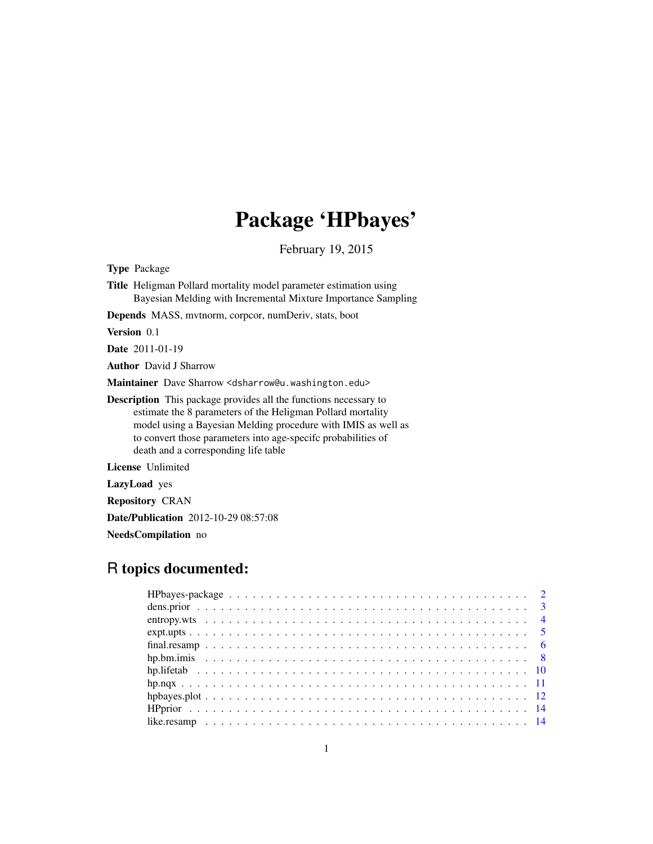## Package 'HPbayes'

February 19, 2015

<span id="page-0-0"></span>Type Package

Title Heligman Pollard mortality model parameter estimation using Bayesian Melding with Incremental Mixture Importance Sampling

Depends MASS, mvtnorm, corpcor, numDeriv, stats, boot

Version 0.1

Date 2011-01-19

Author David J Sharrow

Maintainer Dave Sharrow <dsharrow@u.washington.edu>

Description This package provides all the functions necessary to estimate the 8 parameters of the Heligman Pollard mortality model using a Bayesian Melding procedure with IMIS as well as to convert those parameters into age-specifc probabilities of death and a corresponding life table

License Unlimited

LazyLoad yes

Repository CRAN

Date/Publication 2012-10-29 08:57:08

NeedsCompilation no

## R topics documented: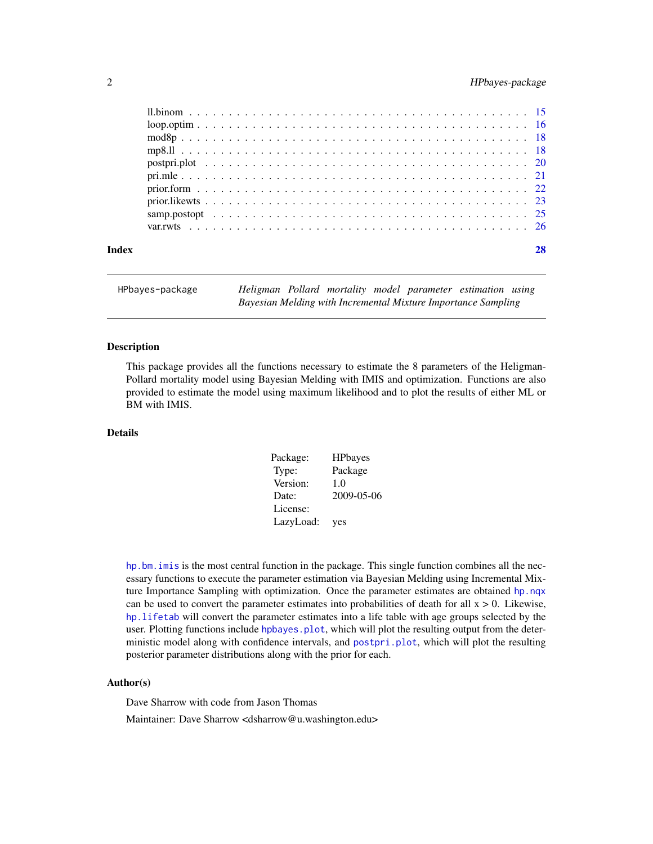## <span id="page-1-0"></span>2 HPbayes-package

| Index |  |  |  |  |  |  |  |  |  |  |  |  |  |  |  |  |  |  |  |
|-------|--|--|--|--|--|--|--|--|--|--|--|--|--|--|--|--|--|--|--|
|       |  |  |  |  |  |  |  |  |  |  |  |  |  |  |  |  |  |  |  |
|       |  |  |  |  |  |  |  |  |  |  |  |  |  |  |  |  |  |  |  |
|       |  |  |  |  |  |  |  |  |  |  |  |  |  |  |  |  |  |  |  |
|       |  |  |  |  |  |  |  |  |  |  |  |  |  |  |  |  |  |  |  |
|       |  |  |  |  |  |  |  |  |  |  |  |  |  |  |  |  |  |  |  |
|       |  |  |  |  |  |  |  |  |  |  |  |  |  |  |  |  |  |  |  |
|       |  |  |  |  |  |  |  |  |  |  |  |  |  |  |  |  |  |  |  |
|       |  |  |  |  |  |  |  |  |  |  |  |  |  |  |  |  |  |  |  |
|       |  |  |  |  |  |  |  |  |  |  |  |  |  |  |  |  |  |  |  |
|       |  |  |  |  |  |  |  |  |  |  |  |  |  |  |  |  |  |  |  |

HPbayes-package *Heligman Pollard mortality model parameter estimation using Bayesian Melding with Incremental Mixture Importance Sampling*

## **Description**

This package provides all the functions necessary to estimate the 8 parameters of the Heligman-Pollard mortality model using Bayesian Melding with IMIS and optimization. Functions are also provided to estimate the model using maximum likelihood and to plot the results of either ML or BM with IMIS.

## Details

| Package:  | <b>HPbayes</b> |
|-----------|----------------|
| Type:     | Package        |
| Version:  | 1.0            |
| Date:     | 2009-05-06     |
| License:  |                |
| LazyLoad: | yes            |

[hp.bm.imis](#page-7-1) is the most central function in the package. This single function combines all the necessary functions to execute the parameter estimation via Bayesian Melding using Incremental Mixture Importance Sampling with optimization. Once the parameter estimates are obtained [hp.nqx](#page-10-1) can be used to convert the parameter estimates into probabilities of death for all  $x > 0$ . Likewise, [hp.lifetab](#page-9-1) will convert the parameter estimates into a life table with age groups selected by the user. Plotting functions include hpbayes. plot, which will plot the resulting output from the deterministic model along with confidence intervals, and [postpri.plot](#page-19-1), which will plot the resulting posterior parameter distributions along with the prior for each.

#### Author(s)

Dave Sharrow with code from Jason Thomas

Maintainer: Dave Sharrow <dsharrow@u.washington.edu>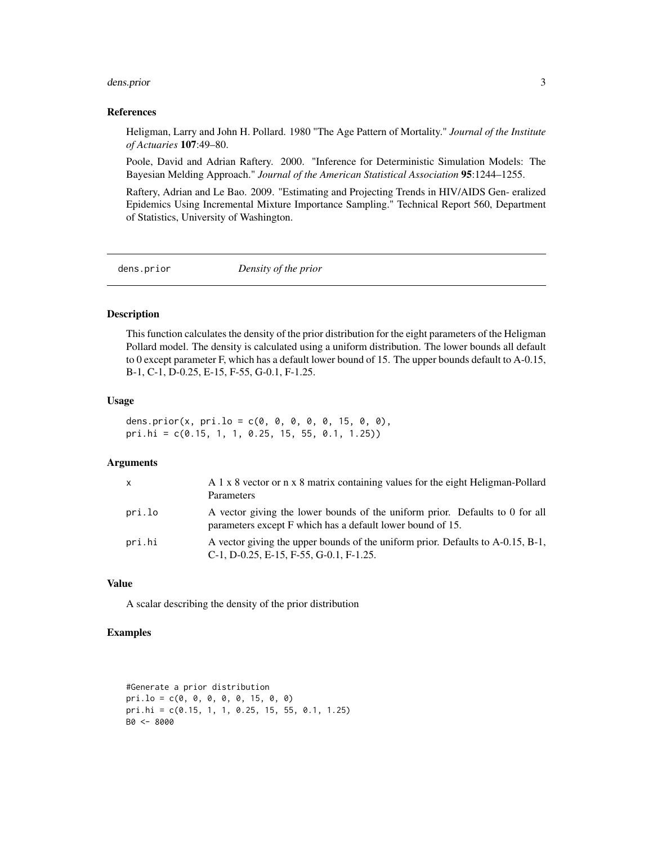#### <span id="page-2-0"></span>dens.prior 3

#### References

Heligman, Larry and John H. Pollard. 1980 "The Age Pattern of Mortality." *Journal of the Institute of Actuaries* 107:49–80.

Poole, David and Adrian Raftery. 2000. "Inference for Deterministic Simulation Models: The Bayesian Melding Approach." *Journal of the American Statistical Association* 95:1244–1255.

Raftery, Adrian and Le Bao. 2009. "Estimating and Projecting Trends in HIV/AIDS Gen- eralized Epidemics Using Incremental Mixture Importance Sampling." Technical Report 560, Department of Statistics, University of Washington.

dens.prior *Density of the prior*

#### Description

This function calculates the density of the prior distribution for the eight parameters of the Heligman Pollard model. The density is calculated using a uniform distribution. The lower bounds all default to 0 except parameter F, which has a default lower bound of 15. The upper bounds default to A-0.15, B-1, C-1, D-0.25, E-15, F-55, G-0.1, F-1.25.

#### Usage

dens.prior(x, pri.lo =  $c(0, 0, 0, 0, 0, 15, 0, 0)$ , pri.hi = c(0.15, 1, 1, 0.25, 15, 55, 0.1, 1.25))

## Arguments

| $\mathsf{x}$ | A 1 x 8 vector or n x 8 matrix containing values for the eight Heligman-Pollard<br>Parameters                                                     |
|--------------|---------------------------------------------------------------------------------------------------------------------------------------------------|
| pri.lo       | A vector giving the lower bounds of the uniform prior. Defaults to 0 for all<br>parameters except F which has a default lower bound of 15.        |
| pri.hi       | A vector giving the upper bounds of the uniform prior. Defaults to A-0.15, B-1,<br>$C-1$ , D $-0.25$ , E $-15$ , F $-55$ , G $-0.1$ , F $-1.25$ . |

## Value

A scalar describing the density of the prior distribution

```
#Generate a prior distribution
pri.lo = c(0, 0, 0, 0, 0, 15, 0, 0)
pri.hi = c(0.15, 1, 1, 0.25, 15, 55, 0.1, 1.25)
B0 <- 8000
```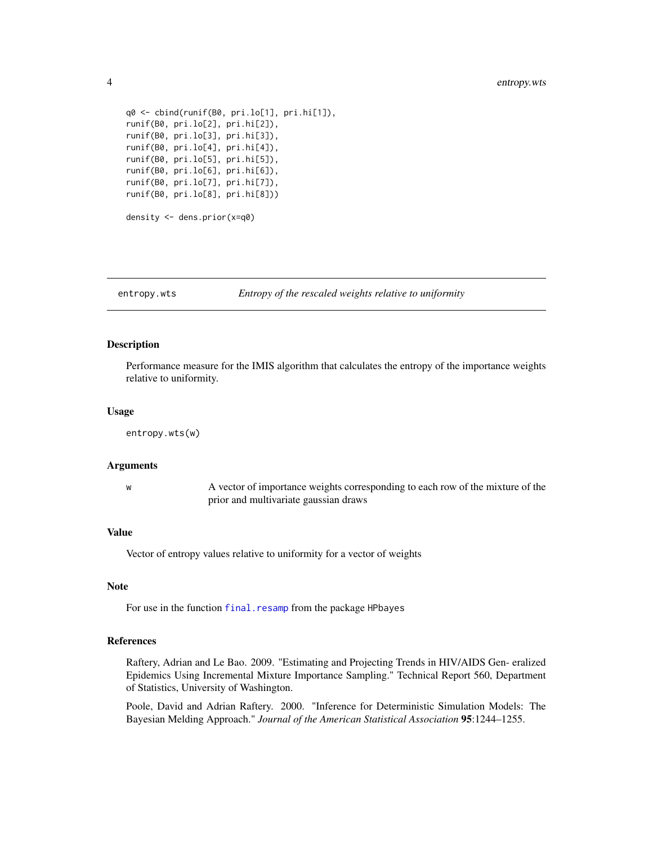```
q0 <- cbind(runif(B0, pri.lo[1], pri.hi[1]),
runif(B0, pri.lo[2], pri.hi[2]),
runif(B0, pri.lo[3], pri.hi[3]),
runif(B0, pri.lo[4], pri.hi[4]),
runif(B0, pri.lo[5], pri.hi[5]),
runif(B0, pri.lo[6], pri.hi[6]),
runif(B0, pri.lo[7], pri.hi[7]),
runif(B0, pri.lo[8], pri.hi[8]))
density <- dens.prior(x=q0)
```
<span id="page-3-1"></span>entropy.wts *Entropy of the rescaled weights relative to uniformity*

#### Description

Performance measure for the IMIS algorithm that calculates the entropy of the importance weights relative to uniformity.

#### Usage

```
entropy.wts(w)
```
#### Arguments

w A vector of importance weights corresponding to each row of the mixture of the prior and multivariate gaussian draws

## Value

Vector of entropy values relative to uniformity for a vector of weights

## Note

For use in the function [final.resamp](#page-5-1) from the package HPbayes

#### References

Raftery, Adrian and Le Bao. 2009. "Estimating and Projecting Trends in HIV/AIDS Gen- eralized Epidemics Using Incremental Mixture Importance Sampling." Technical Report 560, Department of Statistics, University of Washington.

Poole, David and Adrian Raftery. 2000. "Inference for Deterministic Simulation Models: The Bayesian Melding Approach." *Journal of the American Statistical Association* 95:1244–1255.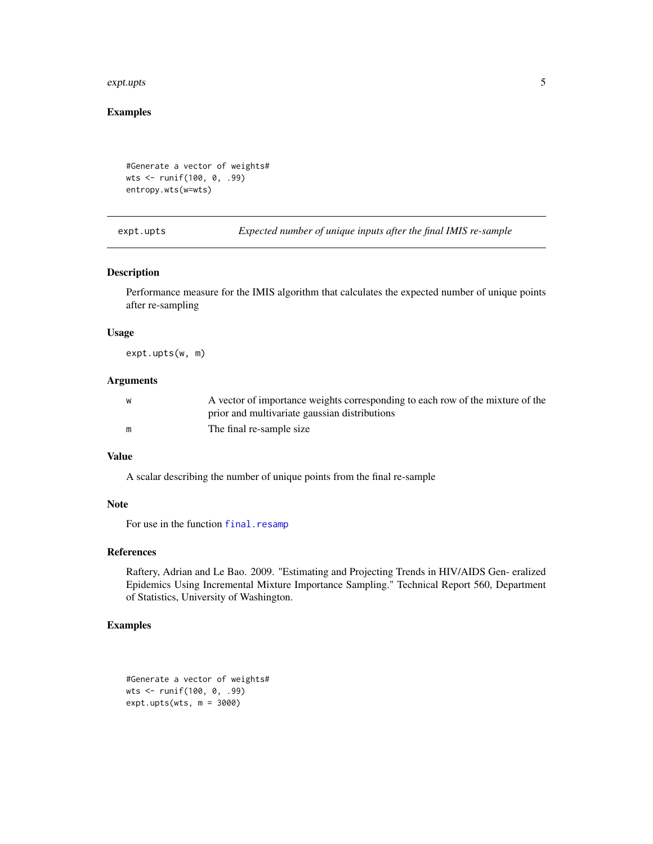#### <span id="page-4-0"></span>expt.upts 5

## Examples

```
#Generate a vector of weights#
wts <- runif(100, 0, .99)
entropy.wts(w=wts)
```
<span id="page-4-1"></span>expt.upts *Expected number of unique inputs after the final IMIS re-sample*

#### Description

Performance measure for the IMIS algorithm that calculates the expected number of unique points after re-sampling

## Usage

expt.upts(w, m)

## Arguments

| W | A vector of importance weights corresponding to each row of the mixture of the |
|---|--------------------------------------------------------------------------------|
|   | prior and multivariate gaussian distributions                                  |
| m | The final re-sample size                                                       |

## Value

A scalar describing the number of unique points from the final re-sample

## Note

For use in the function [final.resamp](#page-5-1)

## References

Raftery, Adrian and Le Bao. 2009. "Estimating and Projecting Trends in HIV/AIDS Gen- eralized Epidemics Using Incremental Mixture Importance Sampling." Technical Report 560, Department of Statistics, University of Washington.

```
#Generate a vector of weights#
wts <- runif(100, 0, .99)
expt.upts(wts, m = 3000)
```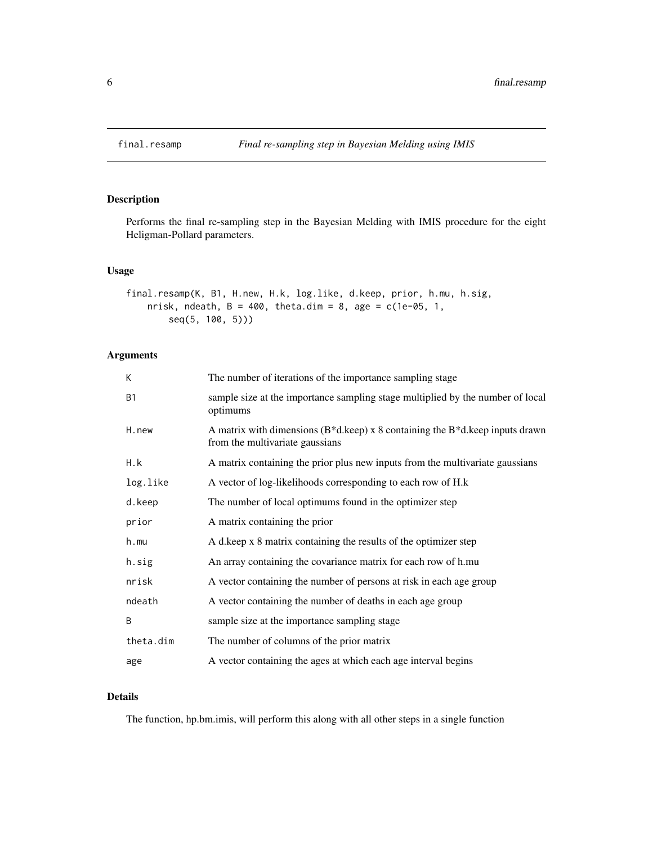<span id="page-5-1"></span><span id="page-5-0"></span>

## Description

Performs the final re-sampling step in the Bayesian Melding with IMIS procedure for the eight Heligman-Pollard parameters.

#### Usage

```
final.resamp(K, B1, H.new, H.k, log.like, d.keep, prior, h.mu, h.sig,
   nrisk, ndeath, B = 400, theta.dim = 8, age = c(1e-05, 1,
       seq(5, 100, 5)))
```
## Arguments

| K         | The number of iterations of the importance sampling stage                                                                |
|-----------|--------------------------------------------------------------------------------------------------------------------------|
| <b>B1</b> | sample size at the importance sampling stage multiplied by the number of local<br>optimums                               |
| H.new     | A matrix with dimensions ( $B^*d$ .keep) x 8 containing the $B^*d$ .keep inputs drawn<br>from the multivariate gaussians |
| H.k       | A matrix containing the prior plus new inputs from the multivariate gaussians                                            |
| log.like  | A vector of log-likelihoods corresponding to each row of H.k                                                             |
| d.keep    | The number of local optimums found in the optimizer step                                                                 |
| prior     | A matrix containing the prior                                                                                            |
| h.mu      | A d.keep x 8 matrix containing the results of the optimizer step                                                         |
| h.sig     | An array containing the covariance matrix for each row of h.mu                                                           |
| nrisk     | A vector containing the number of persons at risk in each age group                                                      |
| ndeath    | A vector containing the number of deaths in each age group                                                               |
| B         | sample size at the importance sampling stage                                                                             |
| theta.dim | The number of columns of the prior matrix                                                                                |
| age       | A vector containing the ages at which each age interval begins                                                           |
|           |                                                                                                                          |

## Details

The function, hp.bm.imis, will perform this along with all other steps in a single function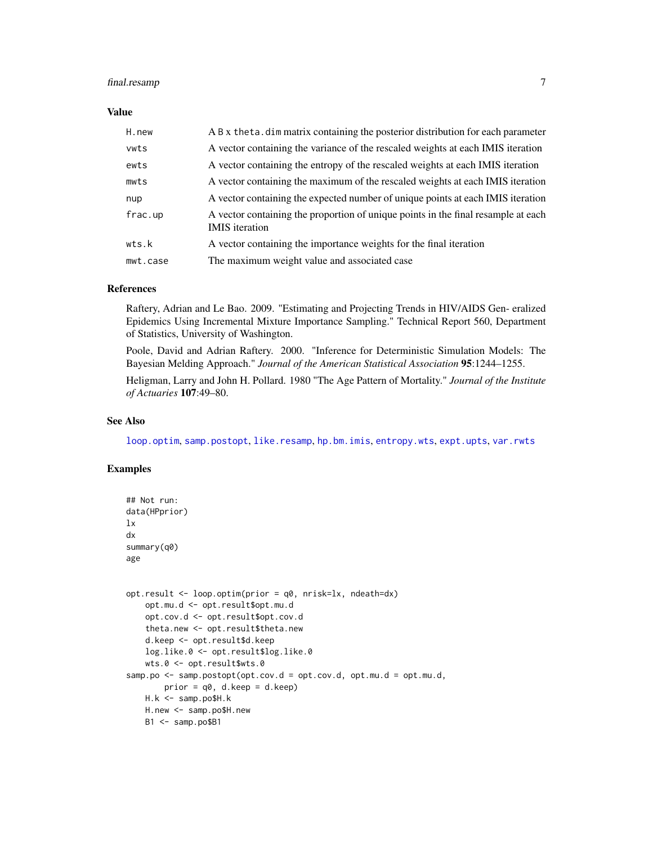## <span id="page-6-0"></span>final.resamp 7

#### Value

| H.new    | A B x theta. dim matrix containing the posterior distribution for each parameter                           |
|----------|------------------------------------------------------------------------------------------------------------|
| vwts     | A vector containing the variance of the rescaled weights at each IMIS iteration                            |
| ewts     | A vector containing the entropy of the rescaled weights at each IMIS iteration                             |
| mwts     | A vector containing the maximum of the rescaled weights at each IMIS iteration                             |
| nup      | A vector containing the expected number of unique points at each IMIS iteration                            |
| frac.up  | A vector containing the proportion of unique points in the final resample at each<br><b>IMIS</b> iteration |
| wts.k    | A vector containing the importance weights for the final iteration                                         |
| mwt.case | The maximum weight value and associated case                                                               |

## References

Raftery, Adrian and Le Bao. 2009. "Estimating and Projecting Trends in HIV/AIDS Gen- eralized Epidemics Using Incremental Mixture Importance Sampling." Technical Report 560, Department of Statistics, University of Washington.

Poole, David and Adrian Raftery. 2000. "Inference for Deterministic Simulation Models: The Bayesian Melding Approach." *Journal of the American Statistical Association* 95:1244–1255.

Heligman, Larry and John H. Pollard. 1980 "The Age Pattern of Mortality." *Journal of the Institute of Actuaries* 107:49–80.

## See Also

[loop.optim](#page-15-1), [samp.postopt](#page-24-1), [like.resamp](#page-13-1), [hp.bm.imis](#page-7-1), [entropy.wts](#page-3-1), [expt.upts](#page-4-1), [var.rwts](#page-25-1)

```
## Not run:
data(HPprior)
lx
dx
summary(q0)
age
opt.result <- loop.optim(prior = q0, nrisk=lx, ndeath=dx)
   opt.mu.d <- opt.result$opt.mu.d
   opt.cov.d <- opt.result$opt.cov.d
   theta.new <- opt.result$theta.new
   d.keep <- opt.result$d.keep
   log.like.0 <- opt.result$log.like.0
   wts.0 <- opt.result$wts.0
samp.po \leq samp.postopt(opt.cov.d = opt.cov.d, opt.mu.d = opt.mu.d,
       prior = q0, d.keep = d.keep)H.k <- samp.po$H.k
   H.new <- samp.po$H.new
   B1 <- samp.po$B1
```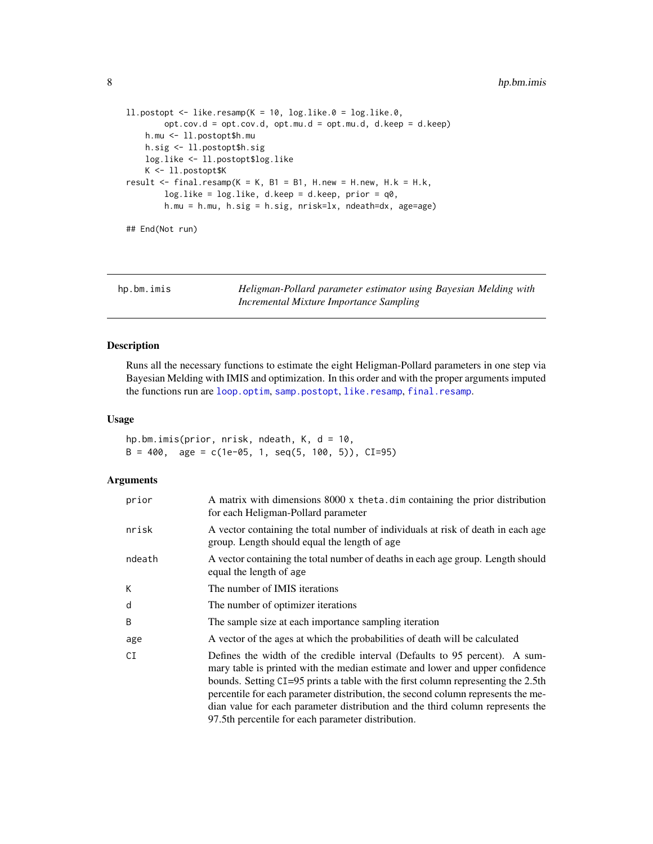```
11.postopt < - 1ike.resamp(K = 10, log.like.0 = log.like.0,
       opt.cov.d = opt.cov.d, opt.mu.d = opt.mu.d, d.keep = d.keep)
   h.mu <- ll.postopt$h.mu
   h.sig <- ll.postopt$h.sig
   log.like <- ll.postopt$log.like
   K <- ll.postopt$K
result \le final.resamp(K = K, B1 = B1, H.new = H.new, H.k = H.k,
       log.like = log.like, d.keep = d.keep, prior = q0,
       h.mu = h.mu, h.sig = h.sig, nrisk=lx, ndeath=dx, age=age)
```
## End(Not run)

<span id="page-7-1"></span>hp.bm.imis *Heligman-Pollard parameter estimator using Bayesian Melding with Incremental Mixture Importance Sampling*

## Description

Runs all the necessary functions to estimate the eight Heligman-Pollard parameters in one step via Bayesian Melding with IMIS and optimization. In this order and with the proper arguments imputed the functions run are [loop.optim](#page-15-1), [samp.postopt](#page-24-1), [like.resamp](#page-13-1), [final.resamp](#page-5-1).

#### Usage

hp.bm.imis(prior, nrisk, ndeath, K, d = 10,  $B = 400$ , age = c(1e-05, 1, seq(5, 100, 5)), CI=95)

## Arguments

| prior  | A matrix with dimensions 8000 x theta. dim containing the prior distribution<br>for each Heligman-Pollard parameter                                                                                                                                                                                                                                                                                                                                                           |
|--------|-------------------------------------------------------------------------------------------------------------------------------------------------------------------------------------------------------------------------------------------------------------------------------------------------------------------------------------------------------------------------------------------------------------------------------------------------------------------------------|
| nrisk  | A vector containing the total number of individuals at risk of death in each age<br>group. Length should equal the length of age                                                                                                                                                                                                                                                                                                                                              |
| ndeath | A vector containing the total number of deaths in each age group. Length should<br>equal the length of age                                                                                                                                                                                                                                                                                                                                                                    |
| Κ      | The number of IMIS iterations                                                                                                                                                                                                                                                                                                                                                                                                                                                 |
| d      | The number of optimizer iterations                                                                                                                                                                                                                                                                                                                                                                                                                                            |
| B      | The sample size at each importance sampling iteration                                                                                                                                                                                                                                                                                                                                                                                                                         |
| age    | A vector of the ages at which the probabilities of death will be calculated                                                                                                                                                                                                                                                                                                                                                                                                   |
| СI     | Defines the width of the credible interval (Defaults to 95 percent). A sum-<br>mary table is printed with the median estimate and lower and upper confidence<br>bounds. Setting CI=95 prints a table with the first column representing the 2.5th<br>percentile for each parameter distribution, the second column represents the me-<br>dian value for each parameter distribution and the third column represents the<br>97.5th percentile for each parameter distribution. |

<span id="page-7-0"></span>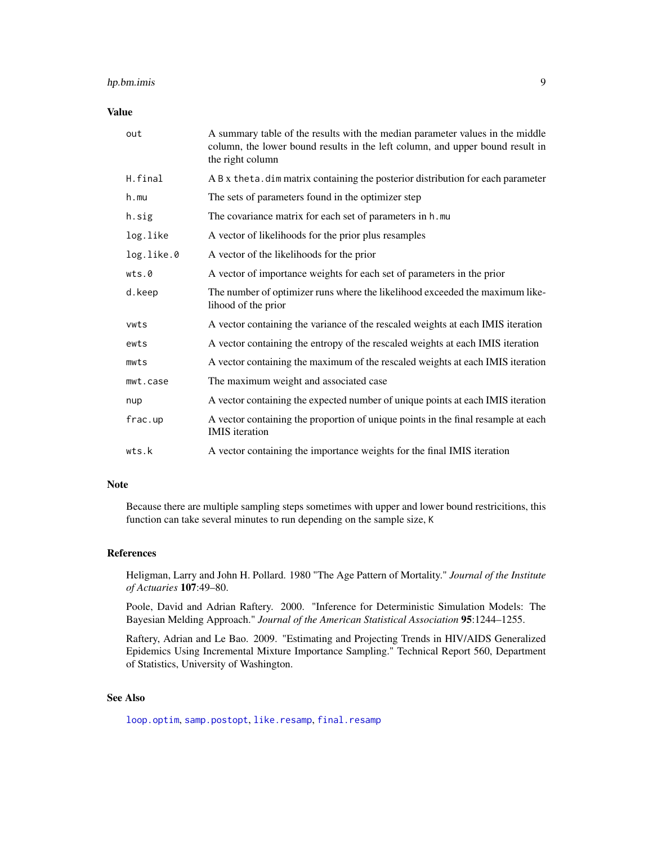## <span id="page-8-0"></span>hp.bm.imis 9

#### Value

| out        | A summary table of the results with the median parameter values in the middle<br>column, the lower bound results in the left column, and upper bound result in<br>the right column |
|------------|------------------------------------------------------------------------------------------------------------------------------------------------------------------------------------|
| H.final    | A B x theta. dim matrix containing the posterior distribution for each parameter                                                                                                   |
| $h$ . mu   | The sets of parameters found in the optimizer step                                                                                                                                 |
| h.sig      | The covariance matrix for each set of parameters in h.mu                                                                                                                           |
| log.like   | A vector of likelihoods for the prior plus resamples                                                                                                                               |
| log.like.0 | A vector of the likelihoods for the prior                                                                                                                                          |
| wts.0      | A vector of importance weights for each set of parameters in the prior                                                                                                             |
| d.keep     | The number of optimizer runs where the likelihood exceeded the maximum like-<br>lihood of the prior                                                                                |
| vwts       | A vector containing the variance of the rescaled weights at each IMIS iteration                                                                                                    |
| ewts       | A vector containing the entropy of the rescaled weights at each IMIS iteration                                                                                                     |
| mwts       | A vector containing the maximum of the rescaled weights at each IMIS iteration                                                                                                     |
| mwt.case   | The maximum weight and associated case                                                                                                                                             |
| nup        | A vector containing the expected number of unique points at each IMIS iteration                                                                                                    |
| frac.up    | A vector containing the proportion of unique points in the final resample at each<br><b>IMIS</b> iteration                                                                         |
| wts.k      | A vector containing the importance weights for the final IMIS iteration                                                                                                            |

#### Note

Because there are multiple sampling steps sometimes with upper and lower bound restricitions, this function can take several minutes to run depending on the sample size, K

#### References

Heligman, Larry and John H. Pollard. 1980 "The Age Pattern of Mortality." *Journal of the Institute of Actuaries* 107:49–80.

Poole, David and Adrian Raftery. 2000. "Inference for Deterministic Simulation Models: The Bayesian Melding Approach." *Journal of the American Statistical Association* 95:1244–1255.

Raftery, Adrian and Le Bao. 2009. "Estimating and Projecting Trends in HIV/AIDS Generalized Epidemics Using Incremental Mixture Importance Sampling." Technical Report 560, Department of Statistics, University of Washington.

## See Also

[loop.optim](#page-15-1), [samp.postopt](#page-24-1), [like.resamp](#page-13-1), [final.resamp](#page-5-1)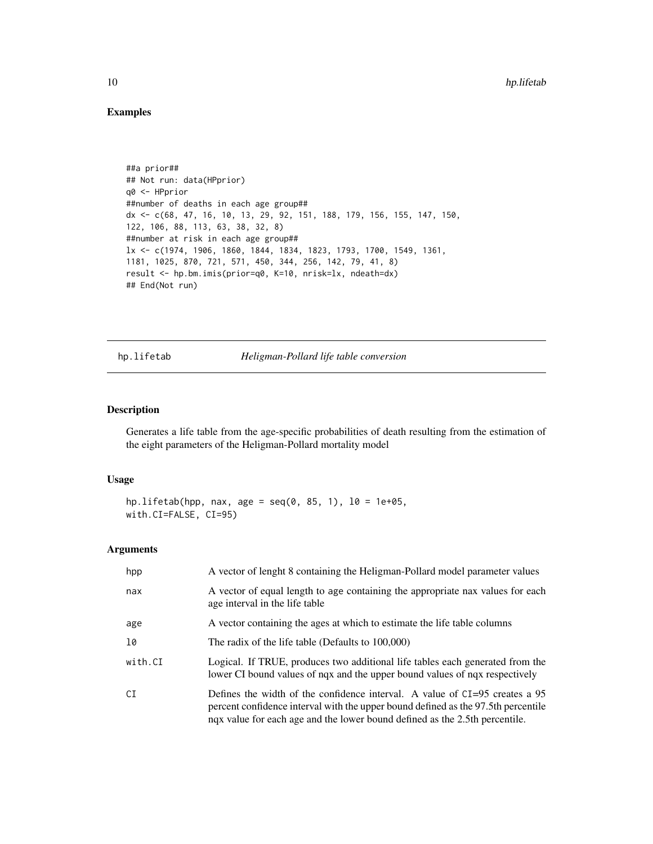## Examples

```
##a prior##
## Not run: data(HPprior)
q0 <- HPprior
##number of deaths in each age group##
dx <- c(68, 47, 16, 10, 13, 29, 92, 151, 188, 179, 156, 155, 147, 150,
122, 106, 88, 113, 63, 38, 32, 8)
##number at risk in each age group##
lx <- c(1974, 1906, 1860, 1844, 1834, 1823, 1793, 1700, 1549, 1361,
1181, 1025, 870, 721, 571, 450, 344, 256, 142, 79, 41, 8)
result <- hp.bm.imis(prior=q0, K=10, nrisk=lx, ndeath=dx)
## End(Not run)
```
<span id="page-9-1"></span>hp.lifetab *Heligman-Pollard life table conversion*

## Description

Generates a life table from the age-specific probabilities of death resulting from the estimation of the eight parameters of the Heligman-Pollard mortality model

## Usage

```
hp.lifetab(hpp, nax, age = seq(0, 85, 1), l0 = 1e+05,
with.CI=FALSE, CI=95)
```
#### Arguments

| hpp     | A vector of lenght 8 containing the Heligman-Pollard model parameter values                                                                                                                                                                       |
|---------|---------------------------------------------------------------------------------------------------------------------------------------------------------------------------------------------------------------------------------------------------|
| nax     | A vector of equal length to age containing the appropriate nax values for each<br>age interval in the life table                                                                                                                                  |
| age     | A vector containing the ages at which to estimate the life table columns                                                                                                                                                                          |
| 10      | The radix of the life table (Defaults to 100,000)                                                                                                                                                                                                 |
| with.CI | Logical. If TRUE, produces two additional life tables each generated from the<br>lower CI bound values of nqx and the upper bound values of nqx respectively                                                                                      |
| CI      | Defines the width of the confidence interval. A value of $CI=95$ creates a 95<br>percent confidence interval with the upper bound defined as the 97.5th percentile<br>nqx value for each age and the lower bound defined as the 2.5th percentile. |

<span id="page-9-0"></span>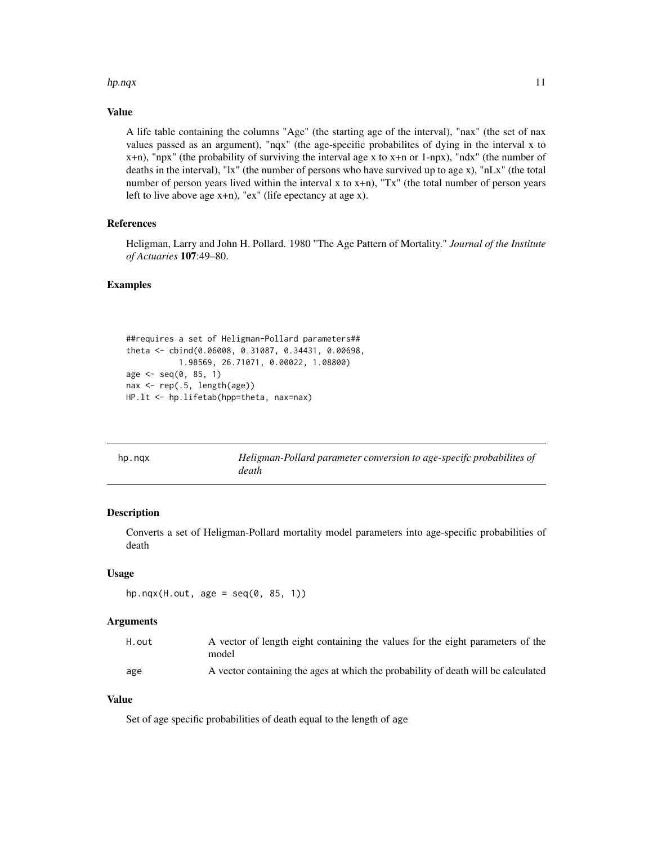#### <span id="page-10-0"></span>hp.nqx and the contract of the contract of the contract of the contract of the contract of the contract of the contract of the contract of the contract of the contract of the contract of the contract of the contract of the

## Value

A life table containing the columns "Age" (the starting age of the interval), "nax" (the set of nax values passed as an argument), "nqx" (the age-specific probabilites of dying in the interval x to x+n), "npx" (the probability of surviving the interval age x to x+n or 1-npx), "ndx" (the number of deaths in the interval), "lx" (the number of persons who have survived up to age x), "nLx" (the total number of person years lived within the interval x to  $x+n$ ), "Tx" (the total number of person years left to live above age x+n), "ex" (life epectancy at age x).

## References

Heligman, Larry and John H. Pollard. 1980 "The Age Pattern of Mortality." *Journal of the Institute of Actuaries* 107:49–80.

#### Examples

```
##requires a set of Heligman-Pollard parameters##
theta <- cbind(0.06008, 0.31087, 0.34431, 0.00698,
          1.98569, 26.71071, 0.00022, 1.08800)
age < -seq(0, 85, 1)nax <- rep(.5, length(age))
HP.lt <- hp.lifetab(hpp=theta, nax=nax)
```
<span id="page-10-1"></span>

| hp.ngx | Heligman-Pollard parameter conversion to age-specifc probabilites of |
|--------|----------------------------------------------------------------------|
|        | death                                                                |

## Description

Converts a set of Heligman-Pollard mortality model parameters into age-specific probabilities of death

#### Usage

```
hp.nqx(H.out, age = seq(0, 85, 1))
```
#### Arguments

| H.out | A vector of length eight containing the values for the eight parameters of the    |
|-------|-----------------------------------------------------------------------------------|
|       | model                                                                             |
| age   | A vector containing the ages at which the probability of death will be calculated |

## Value

Set of age specific probabilities of death equal to the length of age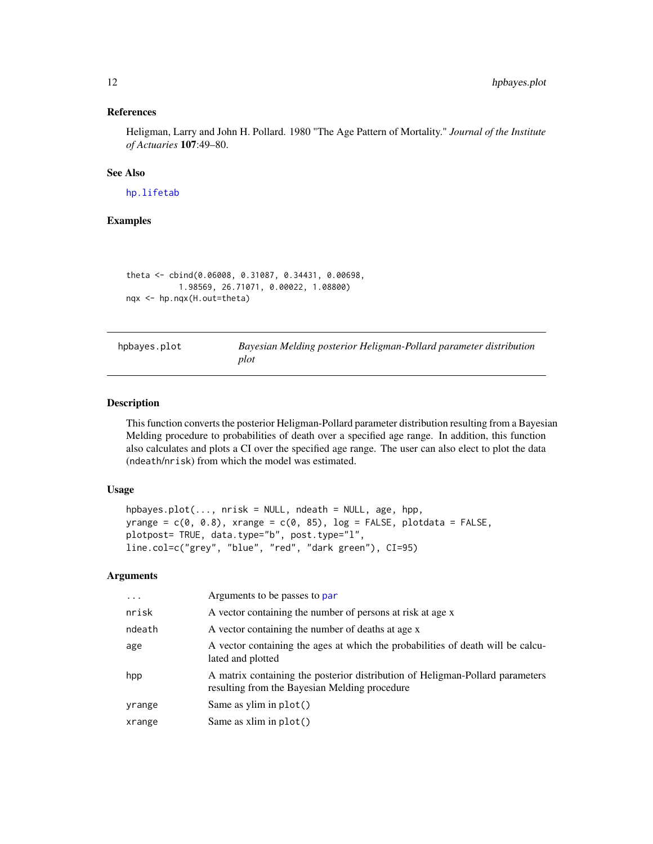#### <span id="page-11-0"></span>References

Heligman, Larry and John H. Pollard. 1980 "The Age Pattern of Mortality." *Journal of the Institute of Actuaries* 107:49–80.

## See Also

[hp.lifetab](#page-9-1)

## Examples

```
theta <- cbind(0.06008, 0.31087, 0.34431, 0.00698,
           1.98569, 26.71071, 0.00022, 1.08800)
nqx <- hp.nqx(H.out=theta)
```
<span id="page-11-1"></span>hpbayes.plot *Bayesian Melding posterior Heligman-Pollard parameter distribution plot*

### Description

This function converts the posterior Heligman-Pollard parameter distribution resulting from a Bayesian Melding procedure to probabilities of death over a specified age range. In addition, this function also calculates and plots a CI over the specified age range. The user can also elect to plot the data (ndeath/nrisk) from which the model was estimated.

#### Usage

```
hpbayes.plot(..., nrisk = NULL, ndeath = NULL, age, hpp,
yrange = c(\emptyset, \emptyset.8), xrange = c(\emptyset, 85), log = FALSE, plotdata = FALSE,
plotpost= TRUE, data.type="b", post.type="l",
line.col=c("grey", "blue", "red", "dark green"), CI=95)
```
#### Arguments

| $\cdots$ | Arguments to be passes to par                                                                                                  |
|----------|--------------------------------------------------------------------------------------------------------------------------------|
| nrisk    | A vector containing the number of persons at risk at age x                                                                     |
| ndeath   | A vector containing the number of deaths at age x                                                                              |
| age      | A vector containing the ages at which the probabilities of death will be calcu-<br>lated and plotted                           |
| hpp      | A matrix containing the posterior distribution of Heligman-Pollard parameters<br>resulting from the Bayesian Melding procedure |
| yrange   | Same as ylim in $plot()$                                                                                                       |
| xrange   | Same as $xlim$ in $plot()$                                                                                                     |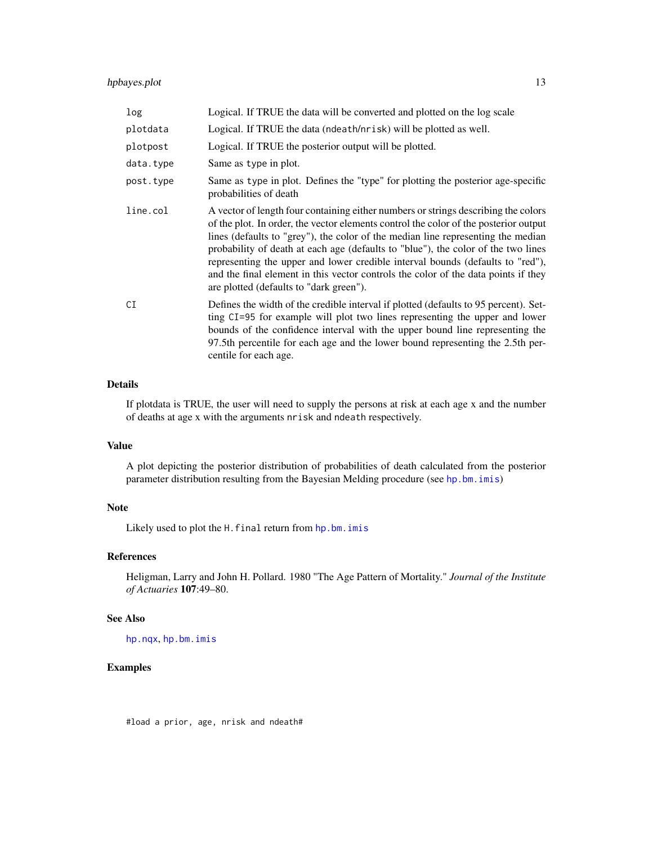## <span id="page-12-0"></span>hpbayes.plot 13

| log       | Logical. If TRUE the data will be converted and plotted on the log scale                                                                                                                                                                                                                                                                                                                                                                                                                                                                                               |
|-----------|------------------------------------------------------------------------------------------------------------------------------------------------------------------------------------------------------------------------------------------------------------------------------------------------------------------------------------------------------------------------------------------------------------------------------------------------------------------------------------------------------------------------------------------------------------------------|
| plotdata  | Logical. If TRUE the data (ndeath/nrisk) will be plotted as well.                                                                                                                                                                                                                                                                                                                                                                                                                                                                                                      |
| plotpost  | Logical. If TRUE the posterior output will be plotted.                                                                                                                                                                                                                                                                                                                                                                                                                                                                                                                 |
| data.type | Same as type in plot.                                                                                                                                                                                                                                                                                                                                                                                                                                                                                                                                                  |
| post.type | Same as type in plot. Defines the "type" for plotting the posterior age-specific<br>probabilities of death                                                                                                                                                                                                                                                                                                                                                                                                                                                             |
| line.col  | A vector of length four containing either numbers or strings describing the colors<br>of the plot. In order, the vector elements control the color of the posterior output<br>lines (defaults to "grey"), the color of the median line representing the median<br>probability of death at each age (defaults to "blue"), the color of the two lines<br>representing the upper and lower credible interval bounds (defaults to "red"),<br>and the final element in this vector controls the color of the data points if they<br>are plotted (defaults to "dark green"). |
| CI        | Defines the width of the credible interval if plotted (defaults to 95 percent). Set-<br>ting CI=95 for example will plot two lines representing the upper and lower<br>bounds of the confidence interval with the upper bound line representing the<br>97.5th percentile for each age and the lower bound representing the 2.5th per-<br>centile for each age.                                                                                                                                                                                                         |

## Details

If plotdata is TRUE, the user will need to supply the persons at risk at each age x and the number of deaths at age x with the arguments nrisk and ndeath respectively.

## Value

A plot depicting the posterior distribution of probabilities of death calculated from the posterior parameter distribution resulting from the Bayesian Melding procedure (see [hp.bm.imis](#page-7-1))

#### Note

Likely used to plot the H.final return from [hp.bm.imis](#page-7-1)

## References

Heligman, Larry and John H. Pollard. 1980 "The Age Pattern of Mortality." *Journal of the Institute of Actuaries* 107:49–80.

## See Also

[hp.nqx](#page-10-1), [hp.bm.imis](#page-7-1)

## Examples

#load a prior, age, nrisk and ndeath#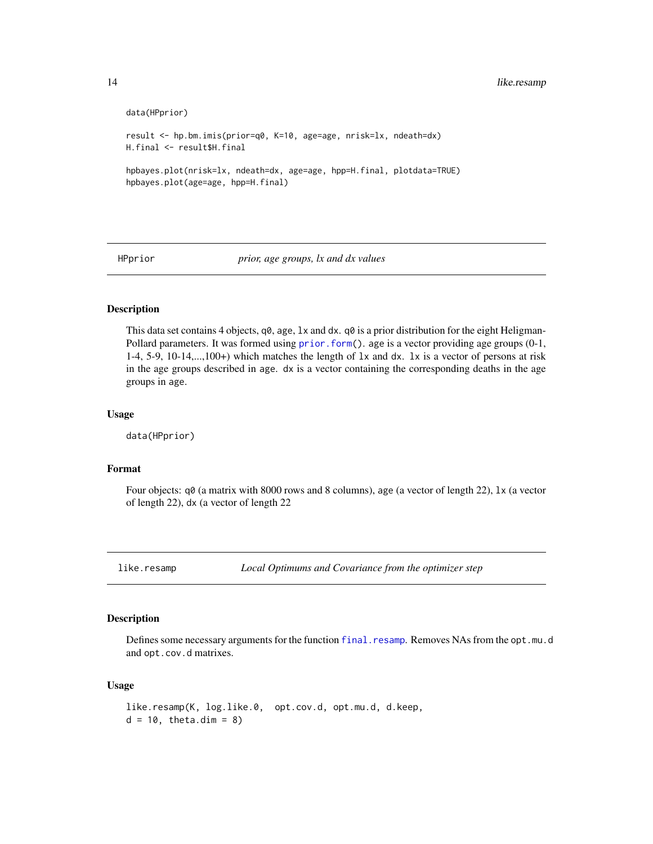```
data(HPprior)
result <- hp.bm.imis(prior=q0, K=10, age=age, nrisk=lx, ndeath=dx)
H.final <- result$H.final
hpbayes.plot(nrisk=lx, ndeath=dx, age=age, hpp=H.final, plotdata=TRUE)
hpbayes.plot(age=age, hpp=H.final)
```
HPprior *prior, age groups, lx and dx values*

## Description

This data set contains 4 objects,  $q\theta$ , age,  $1x$  and dx.  $q\theta$  is a prior distribution for the eight HeligmanPollard parameters. It was formed using [prior.form\(](#page-21-1)). age is a vector providing age groups (0-1, 1-4, 5-9, 10-14,...,100+) which matches the length of lx and dx. lx is a vector of persons at risk in the age groups described in age. dx is a vector containing the corresponding deaths in the age groups in age.

#### Usage

data(HPprior)

#### Format

Four objects: q0 (a matrix with 8000 rows and 8 columns), age (a vector of length 22), lx (a vector of length 22), dx (a vector of length 22

<span id="page-13-1"></span>like.resamp *Local Optimums and Covariance from the optimizer step*

#### Description

Defines some necessary arguments for the function [final.resamp](#page-5-1). Removes NAs from the opt.mu.d and opt.cov.d matrixes.

#### Usage

```
like.resamp(K, log.like.0, opt.cov.d, opt.mu.d, d.keep,
d = 10, theta.dim = 8)
```
<span id="page-13-0"></span>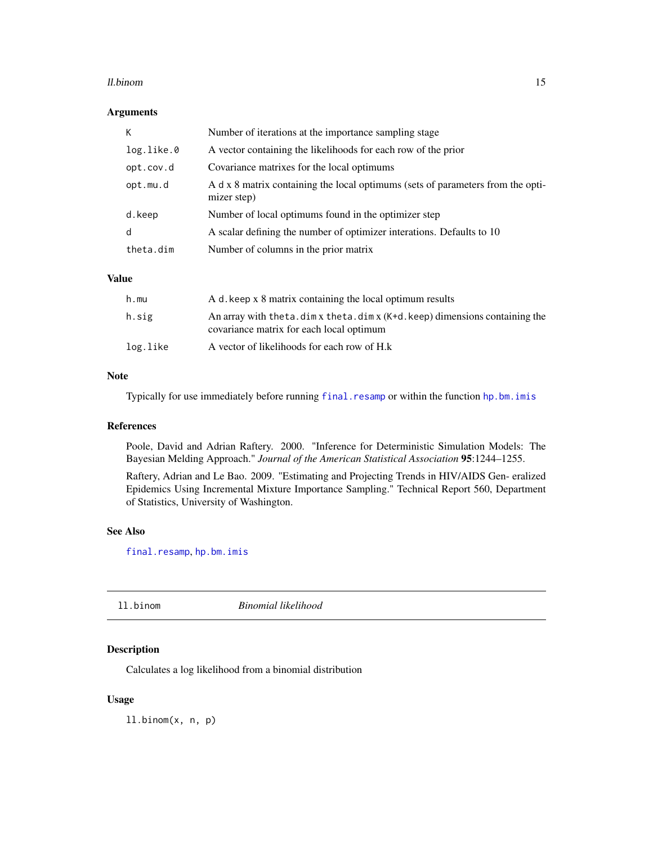#### <span id="page-14-0"></span>ll.binom and the contract of the contract of the contract of the contract of the contract of the contract of the contract of the contract of the contract of the contract of the contract of the contract of the contract of t

## Arguments

| К          | Number of iterations at the importance sampling stage                                          |
|------------|------------------------------------------------------------------------------------------------|
| log.like.0 | A vector containing the likelihoods for each row of the prior                                  |
| opt.cov.d  | Covariance matrixes for the local optimums                                                     |
| opt.mu.d   | A d x 8 matrix containing the local optimums (sets of parameters from the opti-<br>mizer step) |
| d.keep     | Number of local optimums found in the optimizer step                                           |
| d          | A scalar defining the number of optimizer interations. Defaults to 10                          |
| theta.dim  | Number of columns in the prior matrix                                                          |

#### Value

| h.mu     | A d, keep x 8 matrix containing the local optimum results                                                                         |
|----------|-----------------------------------------------------------------------------------------------------------------------------------|
| h.sig    | An array with the ta. $\dim x$ the ta. $\dim x$ (K+d. keep) dimensions containing the<br>covariance matrix for each local optimum |
| log.like | A vector of likelihoods for each row of H.k                                                                                       |

## Note

Typically for use immediately before running [final.resamp](#page-5-1) or within the function [hp.bm.imis](#page-7-1)

## References

Poole, David and Adrian Raftery. 2000. "Inference for Deterministic Simulation Models: The Bayesian Melding Approach." *Journal of the American Statistical Association* 95:1244–1255.

Raftery, Adrian and Le Bao. 2009. "Estimating and Projecting Trends in HIV/AIDS Gen- eralized Epidemics Using Incremental Mixture Importance Sampling." Technical Report 560, Department of Statistics, University of Washington.

#### See Also

[final.resamp](#page-5-1), [hp.bm.imis](#page-7-1)

| ll.binom | Binomial likelihood |  |
|----------|---------------------|--|
|          |                     |  |

## Description

Calculates a log likelihood from a binomial distribution

## Usage

ll.binom(x, n, p)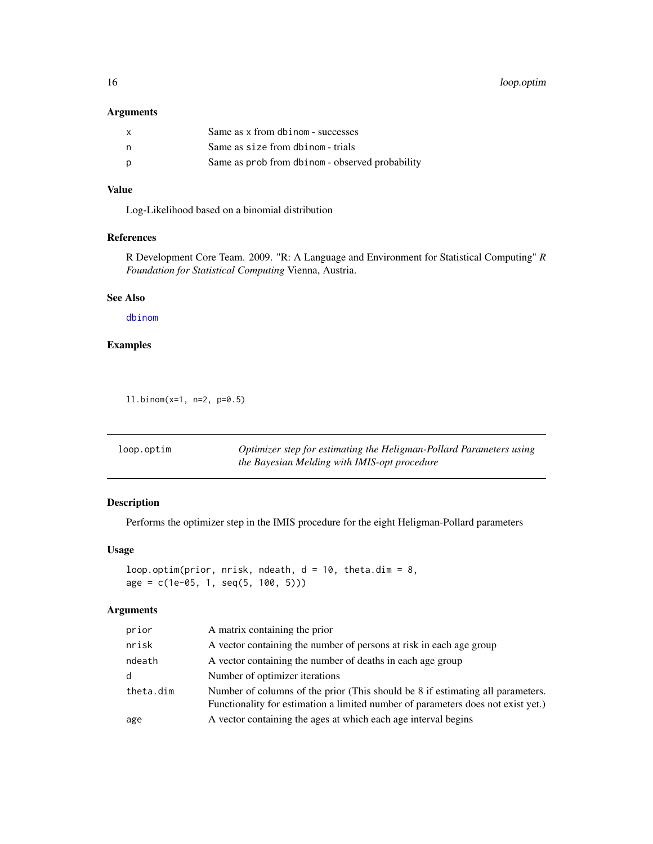## <span id="page-15-0"></span>Arguments

| $\mathsf{x}$ | Same as x from dbinom - successes               |
|--------------|-------------------------------------------------|
| n,           | Same as size from dbinom - trials               |
| p            | Same as prob from dbinom - observed probability |

## Value

Log-Likelihood based on a binomial distribution

## References

R Development Core Team. 2009. "R: A Language and Environment for Statistical Computing" *R Foundation for Statistical Computing* Vienna, Austria.

#### See Also

[dbinom](#page-0-0)

## Examples

ll.binom(x=1, n=2, p=0.5)

<span id="page-15-1"></span>

| loop.optim | Optimizer step for estimating the Heligman-Pollard Parameters using |
|------------|---------------------------------------------------------------------|
|            | the Bayesian Melding with IMIS-opt procedure                        |

## Description

Performs the optimizer step in the IMIS procedure for the eight Heligman-Pollard parameters

## Usage

```
loop.optim(prior, nrisk, ndeath, d = 10, theta.dim = 8,
age = c(1e-05, 1, seq(5, 100, 5)))
```
## Arguments

| prior     | A matrix containing the prior                                                                                                                                      |
|-----------|--------------------------------------------------------------------------------------------------------------------------------------------------------------------|
| nrisk     | A vector containing the number of persons at risk in each age group                                                                                                |
| ndeath    | A vector containing the number of deaths in each age group                                                                                                         |
| d         | Number of optimizer iterations                                                                                                                                     |
| theta.dim | Number of columns of the prior (This should be 8 if estimating all parameters.<br>Functionality for estimation a limited number of parameters does not exist yet.) |
| age       | A vector containing the ages at which each age interval begins                                                                                                     |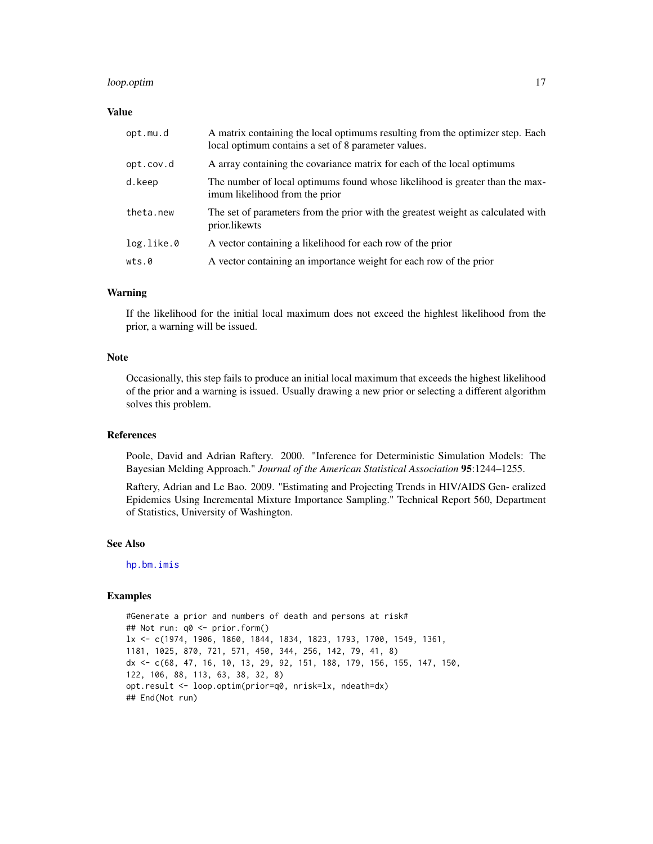#### <span id="page-16-0"></span>loop.optim 17

#### Value

| opt.mu.d   | A matrix containing the local optimums resulting from the optimizer step. Each<br>local optimum contains a set of 8 parameter values. |
|------------|---------------------------------------------------------------------------------------------------------------------------------------|
| opt.cov.d  | A array containing the covariance matrix for each of the local optimums                                                               |
| d.keep     | The number of local optimums found whose likelihood is greater than the max-<br>imum likelihood from the prior                        |
| theta.new  | The set of parameters from the prior with the greatest weight as calculated with<br>prior.likewts                                     |
| log.like.0 | A vector containing a likelihood for each row of the prior                                                                            |
| wts.0      | A vector containing an importance weight for each row of the prior                                                                    |

## Warning

If the likelihood for the initial local maximum does not exceed the highlest likelihood from the prior, a warning will be issued.

## Note

Occasionally, this step fails to produce an initial local maximum that exceeds the highest likelihood of the prior and a warning is issued. Usually drawing a new prior or selecting a different algorithm solves this problem.

#### References

Poole, David and Adrian Raftery. 2000. "Inference for Deterministic Simulation Models: The Bayesian Melding Approach." *Journal of the American Statistical Association* 95:1244–1255.

Raftery, Adrian and Le Bao. 2009. "Estimating and Projecting Trends in HIV/AIDS Gen- eralized Epidemics Using Incremental Mixture Importance Sampling." Technical Report 560, Department of Statistics, University of Washington.

## See Also

[hp.bm.imis](#page-7-1)

#### Examples

#Generate a prior and numbers of death and persons at risk# ## Not run: q0 <- prior.form() lx <- c(1974, 1906, 1860, 1844, 1834, 1823, 1793, 1700, 1549, 1361, 1181, 1025, 870, 721, 571, 450, 344, 256, 142, 79, 41, 8) dx <- c(68, 47, 16, 10, 13, 29, 92, 151, 188, 179, 156, 155, 147, 150, 122, 106, 88, 113, 63, 38, 32, 8) opt.result <- loop.optim(prior=q0, nrisk=lx, ndeath=dx) ## End(Not run)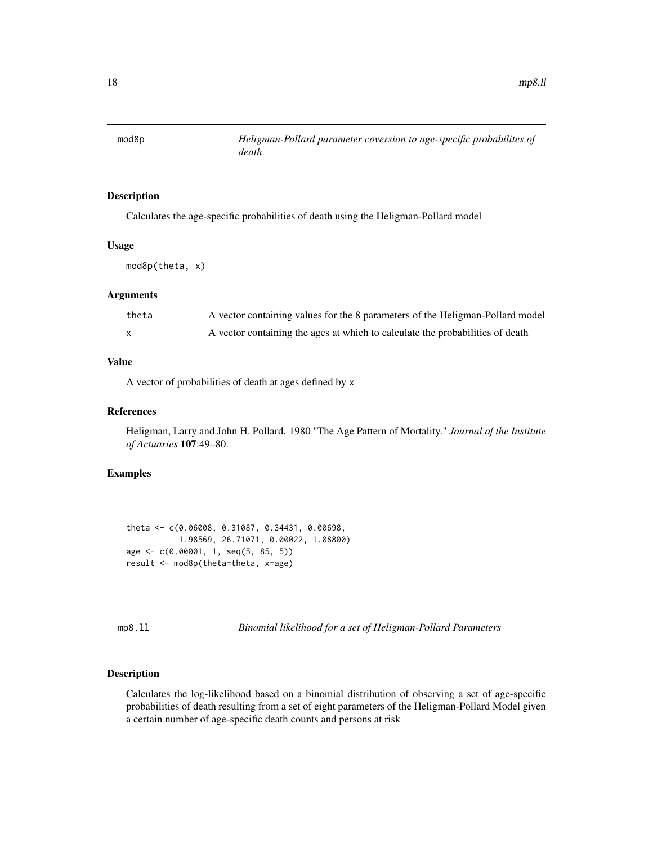<span id="page-17-0"></span>

#### Description

Calculates the age-specific probabilities of death using the Heligman-Pollard model

## Usage

mod8p(theta, x)

#### Arguments

| theta | A vector containing values for the 8 parameters of the Heligman-Pollard model |
|-------|-------------------------------------------------------------------------------|
|       | A vector containing the ages at which to calculate the probabilities of death |

#### Value

A vector of probabilities of death at ages defined by x

## References

Heligman, Larry and John H. Pollard. 1980 "The Age Pattern of Mortality." *Journal of the Institute of Actuaries* 107:49–80.

## Examples

```
theta <- c(0.06008, 0.31087, 0.34431, 0.00698,
           1.98569, 26.71071, 0.00022, 1.08800)
age <- c(0.00001, 1, seq(5, 85, 5))
result <- mod8p(theta=theta, x=age)
```
mp8.ll *Binomial likelihood for a set of Heligman-Pollard Parameters*

## Description

Calculates the log-likelihood based on a binomial distribution of observing a set of age-specific probabilities of death resulting from a set of eight parameters of the Heligman-Pollard Model given a certain number of age-specific death counts and persons at risk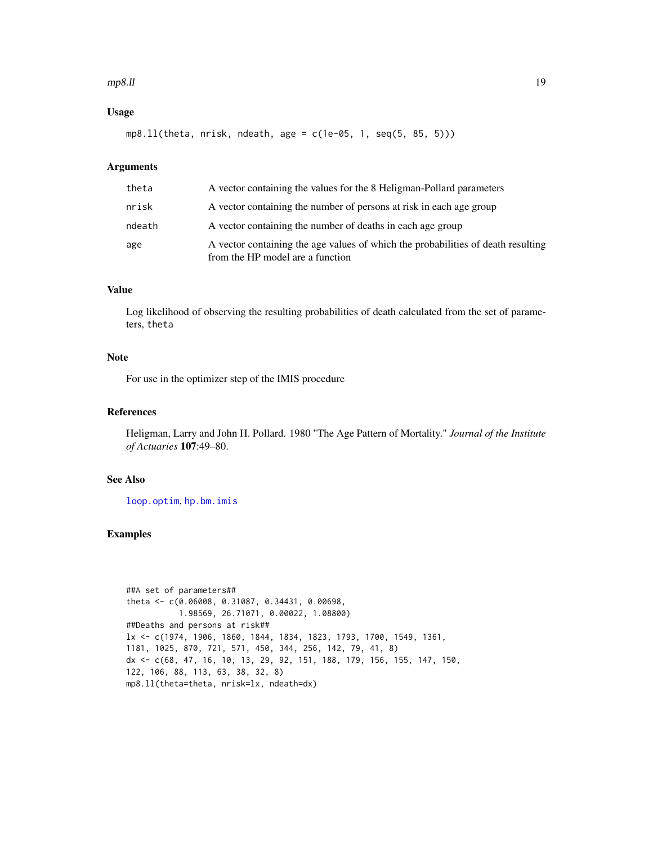#### <span id="page-18-0"></span> $mp8.11$  and the set of the set of the set of the set of the set of the set of the set of the set of the set of the set of the set of the set of the set of the set of the set of the set of the set of the set of the set of

## Usage

mp8.ll(theta, nrisk, ndeath, age = c(1e-05, 1, seq(5, 85, 5)))

## Arguments

| theta  | A vector containing the values for the 8 Heligman-Pollard parameters                                                 |
|--------|----------------------------------------------------------------------------------------------------------------------|
| nrisk  | A vector containing the number of persons at risk in each age group                                                  |
| ndeath | A vector containing the number of deaths in each age group                                                           |
| age    | A vector containing the age values of which the probabilities of death resulting<br>from the HP model are a function |

#### Value

Log likelihood of observing the resulting probabilities of death calculated from the set of parameters, theta

## Note

For use in the optimizer step of the IMIS procedure

#### References

Heligman, Larry and John H. Pollard. 1980 "The Age Pattern of Mortality." *Journal of the Institute of Actuaries* 107:49–80.

## See Also

[loop.optim](#page-15-1), [hp.bm.imis](#page-7-1)

```
##A set of parameters##
theta <- c(0.06008, 0.31087, 0.34431, 0.00698,
           1.98569, 26.71071, 0.00022, 1.08800)
##Deaths and persons at risk##
lx <- c(1974, 1906, 1860, 1844, 1834, 1823, 1793, 1700, 1549, 1361,
1181, 1025, 870, 721, 571, 450, 344, 256, 142, 79, 41, 8)
dx <- c(68, 47, 16, 10, 13, 29, 92, 151, 188, 179, 156, 155, 147, 150,
122, 106, 88, 113, 63, 38, 32, 8)
mp8.ll(theta=theta, nrisk=lx, ndeath=dx)
```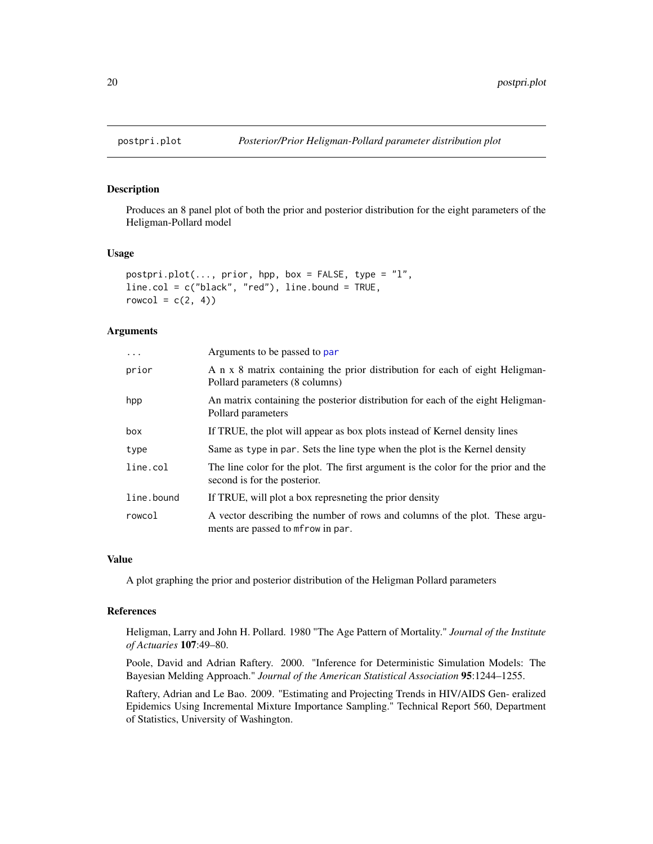<span id="page-19-1"></span><span id="page-19-0"></span>

## Description

Produces an 8 panel plot of both the prior and posterior distribution for the eight parameters of the Heligman-Pollard model

#### Usage

```
postpri.plot(..., prior, hpp, box = FALSE, type = "l",line.col = c("black", "red"), line.bound = TRUE,
rowcol = c(2, 4))
```
#### **Arguments**

| $\cdot$    | Arguments to be passed to par                                                                                      |
|------------|--------------------------------------------------------------------------------------------------------------------|
| prior      | A n x 8 matrix containing the prior distribution for each of eight Heligman-<br>Pollard parameters (8 columns)     |
| hpp        | An matrix containing the posterior distribution for each of the eight Heligman-<br>Pollard parameters              |
| box        | If TRUE, the plot will appear as box plots instead of Kernel density lines                                         |
| type       | Same as type in par. Sets the line type when the plot is the Kernel density                                        |
| line.col   | The line color for the plot. The first argument is the color for the prior and the<br>second is for the posterior. |
| line.bound | If TRUE, will plot a box represneting the prior density                                                            |
| rowcol     | A vector describing the number of rows and columns of the plot. These argu-<br>ments are passed to merow in par.   |

#### Value

A plot graphing the prior and posterior distribution of the Heligman Pollard parameters

#### References

Heligman, Larry and John H. Pollard. 1980 "The Age Pattern of Mortality." *Journal of the Institute of Actuaries* 107:49–80.

Poole, David and Adrian Raftery. 2000. "Inference for Deterministic Simulation Models: The Bayesian Melding Approach." *Journal of the American Statistical Association* 95:1244–1255.

Raftery, Adrian and Le Bao. 2009. "Estimating and Projecting Trends in HIV/AIDS Gen- eralized Epidemics Using Incremental Mixture Importance Sampling." Technical Report 560, Department of Statistics, University of Washington.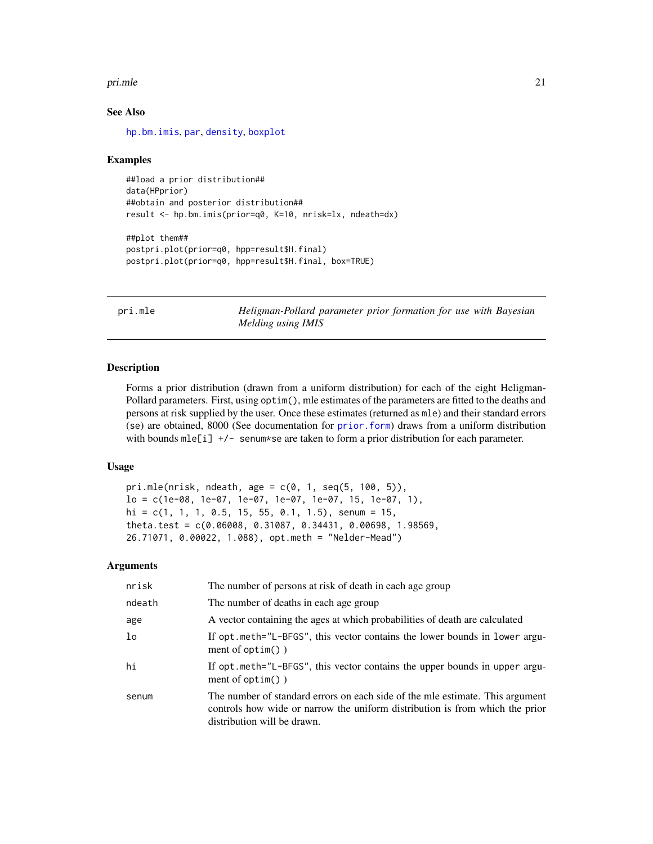#### <span id="page-20-0"></span>primle 21

#### See Also

[hp.bm.imis](#page-7-1), [par](#page-0-0), [density](#page-0-0), [boxplot](#page-0-0)

#### Examples

```
##load a prior distribution##
data(HPprior)
##obtain and posterior distribution##
result <- hp.bm.imis(prior=q0, K=10, nrisk=lx, ndeath=dx)
##plot them##
postpri.plot(prior=q0, hpp=result$H.final)
postpri.plot(prior=q0, hpp=result$H.final, box=TRUE)
```
pri.mle *Heligman-Pollard parameter prior formation for use with Bayesian Melding using IMIS*

#### Description

Forms a prior distribution (drawn from a uniform distribution) for each of the eight Heligman-Pollard parameters. First, using optim(), mle estimates of the parameters are fitted to the deaths and persons at risk supplied by the user. Once these estimates (returned as mle) and their standard errors (se) are obtained, 8000 (See documentation for [prior.form](#page-21-1)) draws from a uniform distribution with bounds  $m\leq i$  +/- senum\*se are taken to form a prior distribution for each parameter.

#### Usage

```
pri.mle(nrisk, ndeath, age = c(\emptyset, 1, seq(5, 100, 5)),lo = c(1e-08, 1e-07, 1e-07, 1e-07, 1e-07, 15, 1e-07, 1),
hi = c(1, 1, 1, 0.5, 15, 55, 0.1, 1.5), senum = 15,
theta.test = c(0.06008, 0.31087, 0.34431, 0.00698, 1.98569,
26.71071, 0.00022, 1.088), opt.meth = "Nelder-Mead")
```
#### Arguments

| nrisk  | The number of persons at risk of death in each age group                                                                                                                                     |
|--------|----------------------------------------------------------------------------------------------------------------------------------------------------------------------------------------------|
| ndeath | The number of deaths in each age group                                                                                                                                                       |
| age    | A vector containing the ages at which probabilities of death are calculated                                                                                                                  |
| lo     | If opt.meth="L-BFGS", this vector contains the lower bounds in lower argu-<br>ment of $option()$ )                                                                                           |
| hi     | If opt. meth="L-BFGS", this vector contains the upper bounds in upper argu-<br>ment of $option()$ )                                                                                          |
| senum  | The number of standard errors on each side of the mle estimate. This argument<br>controls how wide or narrow the uniform distribution is from which the prior<br>distribution will be drawn. |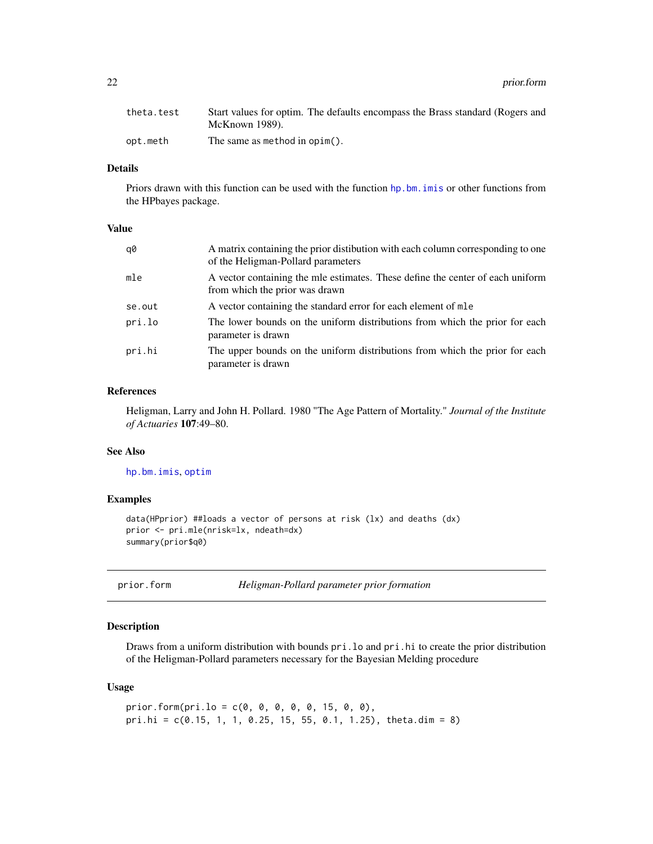<span id="page-21-0"></span>22 prior.form

| theta.test | Start values for optim. The defaults encompass the Brass standard (Rogers and |
|------------|-------------------------------------------------------------------------------|
|            | McKnown 1989).                                                                |
| opt.meth   | The same as method in $opim()$ .                                              |

## Details

Priors drawn with this function can be used with the function [hp.bm.imis](#page-7-1) or other functions from the HPbayes package.

#### Value

| q0     | A matrix containing the prior distibution with each column corresponding to one<br>of the Heligman-Pollard parameters |
|--------|-----------------------------------------------------------------------------------------------------------------------|
| mle    | A vector containing the mle estimates. These define the center of each uniform<br>from which the prior was drawn      |
| se.out | A vector containing the standard error for each element of mle                                                        |
| pri.lo | The lower bounds on the uniform distributions from which the prior for each<br>parameter is drawn                     |
| pri.hi | The upper bounds on the uniform distributions from which the prior for each<br>parameter is drawn                     |

#### References

Heligman, Larry and John H. Pollard. 1980 "The Age Pattern of Mortality." *Journal of the Institute of Actuaries* 107:49–80.

## See Also

[hp.bm.imis](#page-7-1), [optim](#page-0-0)

## Examples

```
data(HPprior) ##loads a vector of persons at risk (lx) and deaths (dx)
prior <- pri.mle(nrisk=lx, ndeath=dx)
summary(prior$q0)
```
<span id="page-21-1"></span>

prior.form *Heligman-Pollard parameter prior formation*

## Description

Draws from a uniform distribution with bounds pri.lo and pri.hi to create the prior distribution of the Heligman-Pollard parameters necessary for the Bayesian Melding procedure

### Usage

```
prior.form(pri.lo = c(0, 0, 0, 0, 0, 15, 0, 0),
pri.hi = c(0.15, 1, 1, 0.25, 15, 55, 0.1, 1.25), theta.dim = 8)
```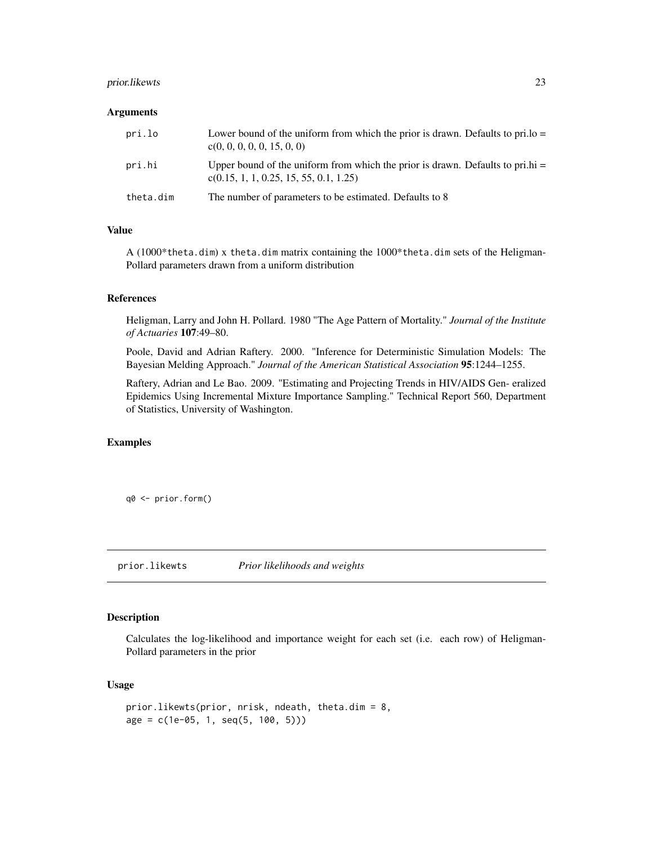## <span id="page-22-0"></span>prior.likewts 23

#### **Arguments**

| pri.lo    | Lower bound of the uniform from which the prior is drawn. Defaults to pri.lo $=$<br>c(0, 0, 0, 0, 0, 15, 0, 0)               |
|-----------|------------------------------------------------------------------------------------------------------------------------------|
| pri.hi    | Upper bound of the uniform from which the prior is drawn. Defaults to pri.hi $=$<br>$c(0.15, 1, 1, 0.25, 15, 55, 0.1, 1.25)$ |
| theta.dim | The number of parameters to be estimated. Defaults to 8                                                                      |

#### Value

A (1000\*theta.dim) x theta.dim matrix containing the 1000\*theta.dim sets of the Heligman-Pollard parameters drawn from a uniform distribution

### References

Heligman, Larry and John H. Pollard. 1980 "The Age Pattern of Mortality." *Journal of the Institute of Actuaries* 107:49–80.

Poole, David and Adrian Raftery. 2000. "Inference for Deterministic Simulation Models: The Bayesian Melding Approach." *Journal of the American Statistical Association* 95:1244–1255.

Raftery, Adrian and Le Bao. 2009. "Estimating and Projecting Trends in HIV/AIDS Gen- eralized Epidemics Using Incremental Mixture Importance Sampling." Technical Report 560, Department of Statistics, University of Washington.

## Examples

q0 <- prior.form()

prior.likewts *Prior likelihoods and weights*

## Description

Calculates the log-likelihood and importance weight for each set (i.e. each row) of Heligman-Pollard parameters in the prior

## Usage

```
prior.likewts(prior, nrisk, ndeath, theta.dim = 8,
age = c(1e-05, 1, seq(5, 100, 5)))
```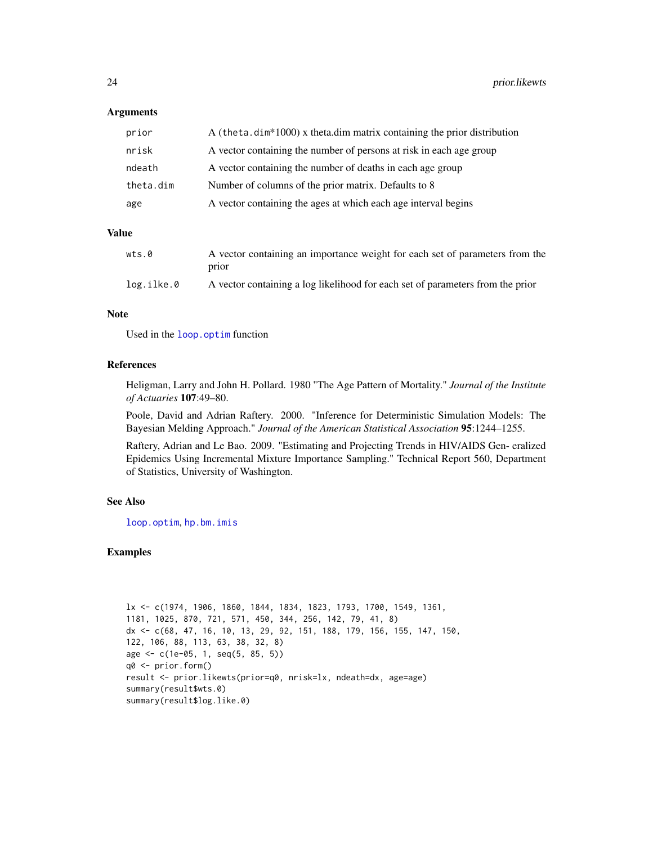#### **Arguments**

| prior     | A (theta.dim*1000) x theta.dim matrix containing the prior distribution |
|-----------|-------------------------------------------------------------------------|
| nrisk     | A vector containing the number of persons at risk in each age group     |
| ndeath    | A vector containing the number of deaths in each age group              |
| theta.dim | Number of columns of the prior matrix. Defaults to 8                    |
| age       | A vector containing the ages at which each age interval begins          |

## Value

| wts.0      | A vector containing an importance weight for each set of parameters from the<br>prior |
|------------|---------------------------------------------------------------------------------------|
| log.ilke.0 | A vector containing a log likelihood for each set of parameters from the prior        |

#### Note

Used in the [loop.optim](#page-15-1) function

#### References

Heligman, Larry and John H. Pollard. 1980 "The Age Pattern of Mortality." *Journal of the Institute of Actuaries* 107:49–80.

Poole, David and Adrian Raftery. 2000. "Inference for Deterministic Simulation Models: The Bayesian Melding Approach." *Journal of the American Statistical Association* 95:1244–1255.

Raftery, Adrian and Le Bao. 2009. "Estimating and Projecting Trends in HIV/AIDS Gen- eralized Epidemics Using Incremental Mixture Importance Sampling." Technical Report 560, Department of Statistics, University of Washington.

## See Also

[loop.optim](#page-15-1), [hp.bm.imis](#page-7-1)

```
lx <- c(1974, 1906, 1860, 1844, 1834, 1823, 1793, 1700, 1549, 1361,
1181, 1025, 870, 721, 571, 450, 344, 256, 142, 79, 41, 8)
dx <- c(68, 47, 16, 10, 13, 29, 92, 151, 188, 179, 156, 155, 147, 150,
122, 106, 88, 113, 63, 38, 32, 8)
age <- c(1e-05, 1, seq(5, 85, 5))
q0 <- prior.form()
result <- prior.likewts(prior=q0, nrisk=lx, ndeath=dx, age=age)
summary(result$wts.0)
summary(result$log.like.0)
```
<span id="page-23-0"></span>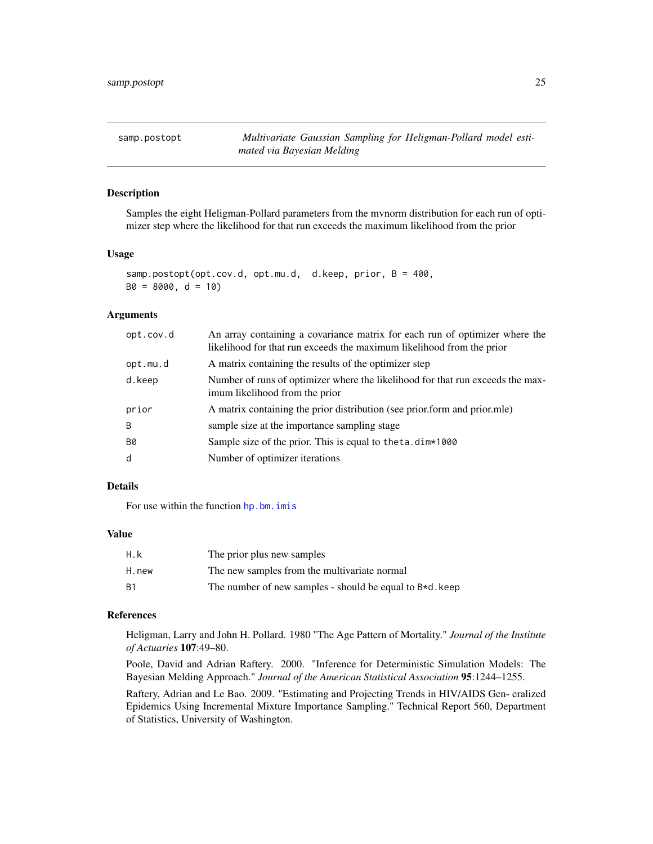<span id="page-24-1"></span><span id="page-24-0"></span>samp.postopt *Multivariate Gaussian Sampling for Heligman-Pollard model estimated via Bayesian Melding*

## Description

Samples the eight Heligman-Pollard parameters from the mvnorm distribution for each run of optimizer step where the likelihood for that run exceeds the maximum likelihood from the prior

#### Usage

samp.postopt(opt.cov.d, opt.mu.d, d.keep, prior, B = 400,  $B0 = 8000$ ,  $d = 10$ 

#### Arguments

| opt.cov.d | An array containing a covariance matrix for each run of optimizer where the<br>likelihood for that run exceeds the maximum likelihood from the prior |
|-----------|------------------------------------------------------------------------------------------------------------------------------------------------------|
| opt.mu.d  | A matrix containing the results of the optimizer step                                                                                                |
| d.keep    | Number of runs of optimizer where the likelihood for that run exceeds the max-<br>imum likelihood from the prior                                     |
| prior     | A matrix containing the prior distribution (see prior form and prior mle)                                                                            |
| B         | sample size at the importance sampling stage                                                                                                         |
| <b>B0</b> | Sample size of the prior. This is equal to the ta. dim *1000                                                                                         |
| d         | Number of optimizer iterations                                                                                                                       |

#### Details

For use within the function [hp.bm.imis](#page-7-1)

#### Value

| H.k       | The prior plus new samples                                  |
|-----------|-------------------------------------------------------------|
| H.new     | The new samples from the multivariate normal                |
| <b>B1</b> | The number of new samples - should be equal to $B*d$ . keep |

## References

Heligman, Larry and John H. Pollard. 1980 "The Age Pattern of Mortality." *Journal of the Institute of Actuaries* 107:49–80.

Poole, David and Adrian Raftery. 2000. "Inference for Deterministic Simulation Models: The Bayesian Melding Approach." *Journal of the American Statistical Association* 95:1244–1255.

Raftery, Adrian and Le Bao. 2009. "Estimating and Projecting Trends in HIV/AIDS Gen- eralized Epidemics Using Incremental Mixture Importance Sampling." Technical Report 560, Department of Statistics, University of Washington.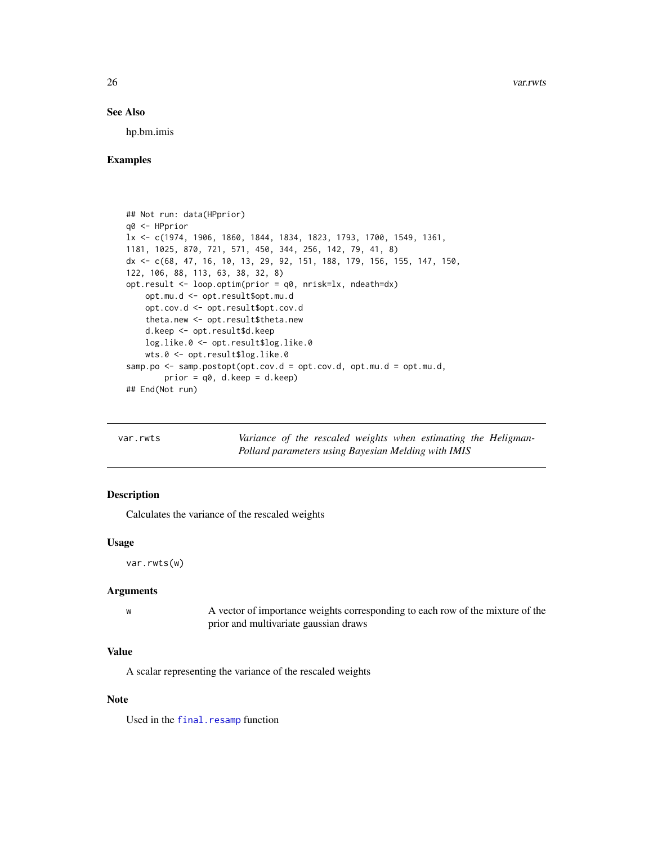#### <span id="page-25-0"></span>See Also

hp.bm.imis

#### Examples

```
## Not run: data(HPprior)
q0 <- HPprior
lx <- c(1974, 1906, 1860, 1844, 1834, 1823, 1793, 1700, 1549, 1361,
1181, 1025, 870, 721, 571, 450, 344, 256, 142, 79, 41, 8)
dx <- c(68, 47, 16, 10, 13, 29, 92, 151, 188, 179, 156, 155, 147, 150,
122, 106, 88, 113, 63, 38, 32, 8)
opt.result <- loop.optim(prior = q0, nrisk=lx, ndeath=dx)
   opt.mu.d <- opt.result$opt.mu.d
   opt.cov.d <- opt.result$opt.cov.d
   theta.new <- opt.result$theta.new
   d.keep <- opt.result$d.keep
   log.like.0 <- opt.result$log.like.0
   wts.0 <- opt.result$log.like.0
samp.po \leq samp.postopt(opt.cov.d = opt.cov.d, opt.mu.d = opt.mu.d,
       prior = q0, d.keep = d.keep)
## End(Not run)
```
<span id="page-25-1"></span>var.rwts *Variance of the rescaled weights when estimating the Heligman-Pollard parameters using Bayesian Melding with IMIS*

#### Description

Calculates the variance of the rescaled weights

#### Usage

var.rwts(w)

## Arguments

| A vector of importance weights corresponding to each row of the mixture of the |
|--------------------------------------------------------------------------------|
| prior and multivariate gaussian draws                                          |

#### Value

A scalar representing the variance of the rescaled weights

#### Note

Used in the [final.resamp](#page-5-1) function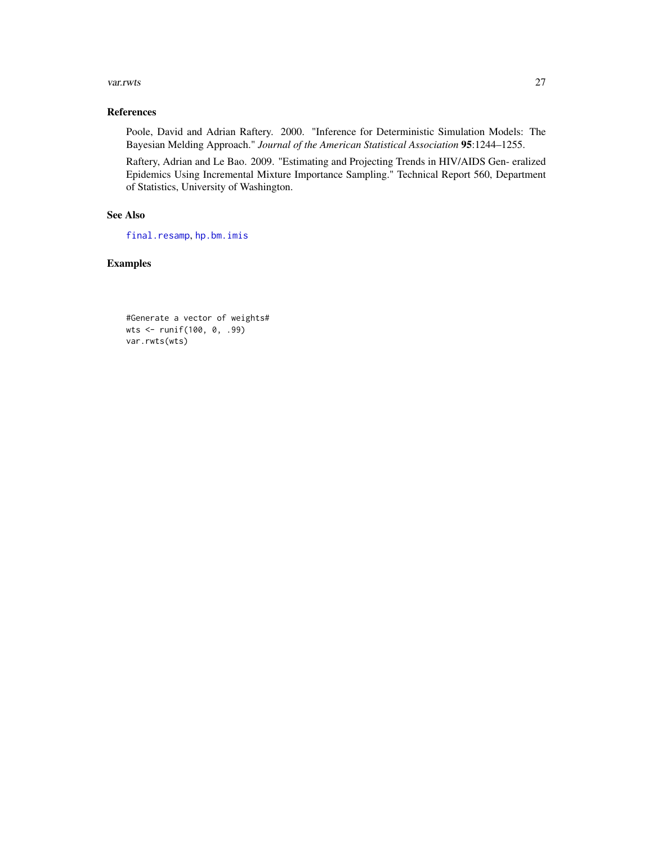#### <span id="page-26-0"></span>var.rwts 27

## References

Poole, David and Adrian Raftery. 2000. "Inference for Deterministic Simulation Models: The Bayesian Melding Approach." *Journal of the American Statistical Association* 95:1244–1255.

Raftery, Adrian and Le Bao. 2009. "Estimating and Projecting Trends in HIV/AIDS Gen- eralized Epidemics Using Incremental Mixture Importance Sampling." Technical Report 560, Department of Statistics, University of Washington.

## See Also

[final.resamp](#page-5-1), [hp.bm.imis](#page-7-1)

```
#Generate a vector of weights#
wts <- runif(100, 0, .99)
var.rwts(wts)
```